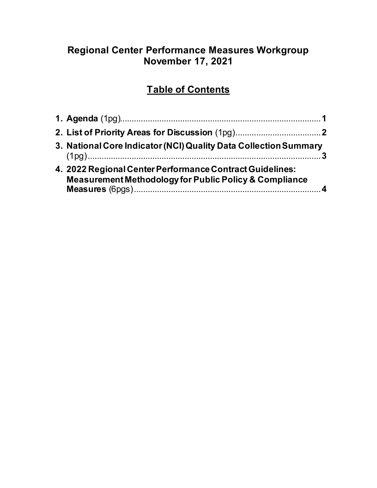## **Regional Center Performance Measures Workgroup November 17, 2021**

# **Table of Contents**

| 3. National Core Indicator (NCI) Quality Data Collection Summary                                                              |  |
|-------------------------------------------------------------------------------------------------------------------------------|--|
| 4. 2022 Regional Center Performance Contract Guidelines:<br><b>Measurement Methodology for Public Policy &amp; Compliance</b> |  |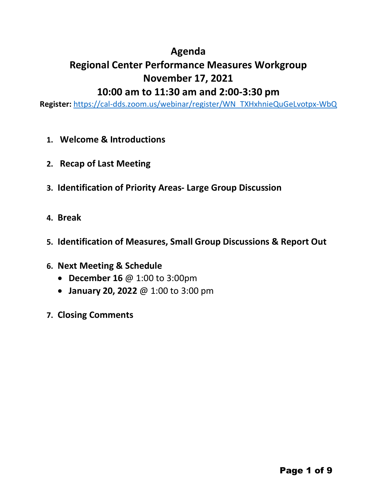## **Agenda**

# **Regional Center Performance Measures Workgroup November 17, 2021**

## **10:00 am to 11:30 am and 2:00-3:30 pm**

**Register:** [https://cal-dds.zoom.us/webinar/register/WN\\_TXHxhnieQuGeLvotpx-WbQ](https://cal-dds.zoom.us/webinar/register/WN_TXHxhnieQuGeLvotpx-WbQ)

- **1. Welcome & Introductions**
- **2. Recap of Last Meeting**
- **3. Identification of Priority Areas- Large Group Discussion**
- **4. Break**
- **5. Identification of Measures, Small Group Discussions & Report Out**
- **6. Next Meeting & Schedule**
	- **December 16** @ 1:00 to 3:00pm
	- **January 20, 2022** @ 1:00 to 3:00 pm
- **7. Closing Comments**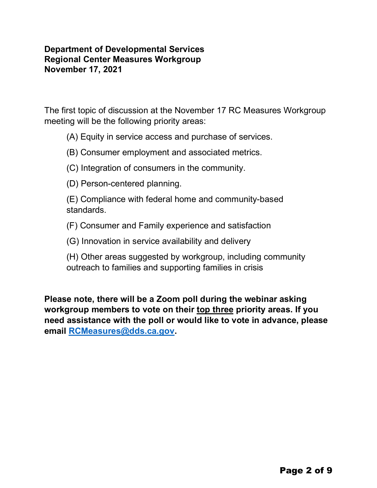## **Department of Developmental Services Regional Center Measures Workgroup November 17, 2021**

The first topic of discussion at the November 17 RC Measures Workgroup meeting will be the following priority areas:

(A) Equity in service access and purchase of services.

(B) Consumer employment and associated metrics.

(C) Integration of consumers in the community.

(D) Person-centered planning.

(E) Compliance with federal home and community-based standards.

(F) Consumer and Family experience and satisfaction

(G) Innovation in service availability and delivery

(H) Other areas suggested by workgroup, including community outreach to families and supporting families in crisis

**Please note, there will be a Zoom poll during the webinar asking workgroup members to vote on their top three priority areas. If you need assistance with the poll or would like to vote in advance, please email [RCMeasures@dds.ca.gov.](mailto:RCMeasures@dds.ca.gov)**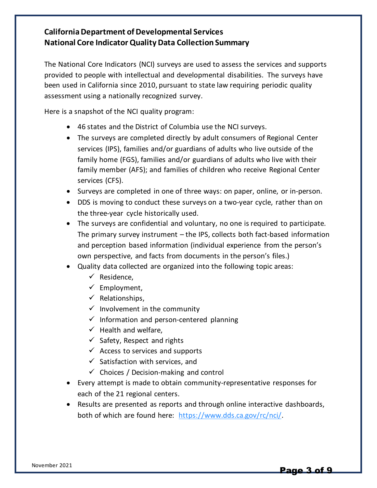### **California Department of Developmental Services National Core Indicator Quality Data Collection Summary**

The National Core Indicators (NCI) surveys are used to assess the services and supports provided to people with intellectual and developmental disabilities. The surveys have been used in California since 2010, pursuant to state law requiring periodic quality assessment using a nationally recognized survey.

Here is a snapshot of the NCI quality program:

- 46 states and the District of Columbia use the NCI surveys.
- The surveys are completed directly by adult consumers of Regional Center services (IPS), families and/or guardians of adults who live outside of the family home (FGS), families and/or guardians of adults who live with their family member (AFS); and families of children who receive Regional Center services (CFS).
- Surveys are completed in one of three ways: on paper, online, or in-person.
- DDS is moving to conduct these surveys on a two-year cycle, rather than on the three-year cycle historically used.
- The surveys are confidential and voluntary, no one is required to participate. The primary survey instrument – the IPS, collects both fact-based information and perception based information (individual experience from the person's own perspective, and facts from documents in the person's files.)
- Quality data collected are organized into the following topic areas:
	- $\checkmark$  Residence.
	- $\checkmark$  Employment,
	- $\checkmark$  Relationships,
	- $\checkmark$  Involvement in the community
	- $\checkmark$  Information and person-centered planning
	- $\checkmark$  Health and welfare.
	- $\checkmark$  Safety, Respect and rights
	- $\checkmark$  Access to services and supports
	- $\checkmark$  Satisfaction with services, and
	- $\checkmark$  Choices / Decision-making and control
- Every attempt is made to obtain community-representative responses for each of the 21 regional centers.
- Results are presented as reports and through online interactive dashboards, both of which are found here: [https://www.dds.ca.gov/rc/nci/.](https://www.dds.ca.gov/rc/nci/)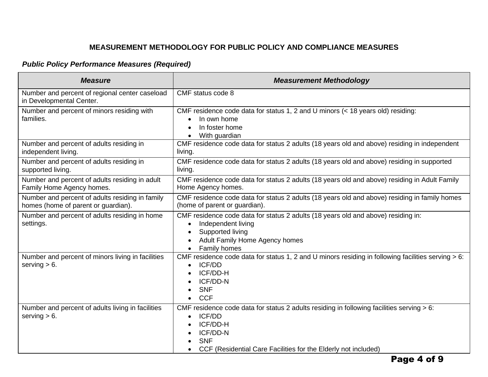## *Public Policy Performance Measures (Required)*

| <b>Measure</b>                                                                         | <b>Measurement Methodology</b>                                                                                                                                                                                              |
|----------------------------------------------------------------------------------------|-----------------------------------------------------------------------------------------------------------------------------------------------------------------------------------------------------------------------------|
| Number and percent of regional center caseload<br>in Developmental Center.             | CMF status code 8                                                                                                                                                                                                           |
| Number and percent of minors residing with<br>families.                                | CMF residence code data for status 1, 2 and U minors (< 18 years old) residing:<br>In own home<br>$\bullet$<br>In foster home<br>With guardian<br>$\bullet$                                                                 |
| Number and percent of adults residing in<br>independent living.                        | CMF residence code data for status 2 adults (18 years old and above) residing in independent<br>living.                                                                                                                     |
| Number and percent of adults residing in<br>supported living.                          | CMF residence code data for status 2 adults (18 years old and above) residing in supported<br>living.                                                                                                                       |
| Number and percent of adults residing in adult<br>Family Home Agency homes.            | CMF residence code data for status 2 adults (18 years old and above) residing in Adult Family<br>Home Agency homes.                                                                                                         |
| Number and percent of adults residing in family<br>homes (home of parent or guardian). | CMF residence code data for status 2 adults (18 years old and above) residing in family homes<br>(home of parent or guardian).                                                                                              |
| Number and percent of adults residing in home<br>settings.                             | CMF residence code data for status 2 adults (18 years old and above) residing in:<br>Independent living<br>$\bullet$<br>Supported living<br>Adult Family Home Agency homes<br>Family homes<br>$\bullet$                     |
| Number and percent of minors living in facilities<br>serving $> 6$ .                   | CMF residence code data for status 1, 2 and U minors residing in following facilities serving > 6:<br><b>ICF/DD</b><br>$\bullet$<br>ICF/DD-H<br>ICF/DD-N<br><b>SNF</b><br><b>CCF</b>                                        |
| Number and percent of adults living in facilities<br>serving $> 6$ .                   | CMF residence code data for status 2 adults residing in following facilities serving $> 6$ :<br>ICF/DD<br>$\bullet$<br>ICF/DD-H<br>ICF/DD-N<br><b>SNF</b><br>CCF (Residential Care Facilities for the Elderly not included) |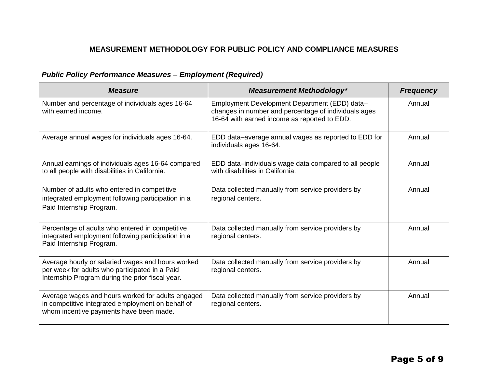## *Public Policy Performance Measures – Employment (Required)*

| <b>Measure</b>                                                                                                                                          | <b>Measurement Methodology*</b>                                                                                                                       | <b>Frequency</b> |
|---------------------------------------------------------------------------------------------------------------------------------------------------------|-------------------------------------------------------------------------------------------------------------------------------------------------------|------------------|
| Number and percentage of individuals ages 16-64<br>with earned income.                                                                                  | Employment Development Department (EDD) data-<br>changes in number and percentage of individuals ages<br>16-64 with earned income as reported to EDD. | Annual           |
| Average annual wages for individuals ages 16-64.                                                                                                        | EDD data-average annual wages as reported to EDD for<br>individuals ages 16-64.                                                                       | Annual           |
| Annual earnings of individuals ages 16-64 compared<br>to all people with disabilities in California.                                                    | EDD data-individuals wage data compared to all people<br>with disabilities in California.                                                             | Annual           |
| Number of adults who entered in competitive<br>integrated employment following participation in a<br>Paid Internship Program.                           | Data collected manually from service providers by<br>regional centers.                                                                                | Annual           |
| Percentage of adults who entered in competitive<br>integrated employment following participation in a<br>Paid Internship Program.                       | Data collected manually from service providers by<br>regional centers.                                                                                | Annual           |
| Average hourly or salaried wages and hours worked<br>per week for adults who participated in a Paid<br>Internship Program during the prior fiscal year. | Data collected manually from service providers by<br>regional centers.                                                                                | Annual           |
| Average wages and hours worked for adults engaged<br>in competitive integrated employment on behalf of<br>whom incentive payments have been made.       | Data collected manually from service providers by<br>regional centers.                                                                                | Annual           |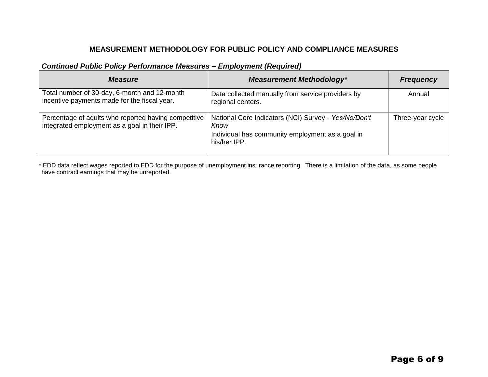#### *Continued Public Policy Performance Measures – Employment (Required)*

| <b>Measure</b>                                                                                        | <b>Measurement Methodology*</b>                                                                                                  | <b>Frequency</b> |
|-------------------------------------------------------------------------------------------------------|----------------------------------------------------------------------------------------------------------------------------------|------------------|
| Total number of 30-day, 6-month and 12-month<br>incentive payments made for the fiscal year.          | Data collected manually from service providers by<br>regional centers.                                                           | Annual           |
| Percentage of adults who reported having competitive<br>integrated employment as a goal in their IPP. | National Core Indicators (NCI) Survey - Yes/No/Don't<br>Know<br>Individual has community employment as a goal in<br>his/her IPP. | Three-year cycle |

\* EDD data reflect wages reported to EDD for the purpose of unemployment insurance reporting. There is a limitation of the data, as some people have contract earnings that may be unreported.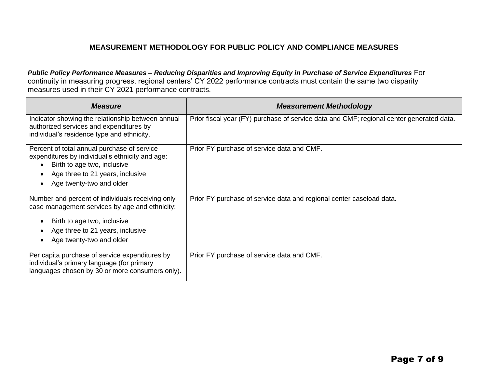*Public Policy Performance Measures – Reducing Disparities and Improving Equity in Purchase of Service Expenditures* For continuity in measuring progress, regional centers' CY 2022 performance contracts must contain the same two disparity measures used in their CY 2021 performance contracts.

| <b>Measure</b>                                                                                                                                                                                    | <b>Measurement Methodology</b>                                                           |
|---------------------------------------------------------------------------------------------------------------------------------------------------------------------------------------------------|------------------------------------------------------------------------------------------|
| Indicator showing the relationship between annual<br>authorized services and expenditures by<br>individual's residence type and ethnicity.                                                        | Prior fiscal year (FY) purchase of service data and CMF; regional center generated data. |
| Percent of total annual purchase of service<br>expenditures by individual's ethnicity and age:<br>Birth to age two, inclusive<br>Age three to 21 years, inclusive<br>Age twenty-two and older     | Prior FY purchase of service data and CMF.                                               |
| Number and percent of individuals receiving only<br>case management services by age and ethnicity:<br>Birth to age two, inclusive<br>Age three to 21 years, inclusive<br>Age twenty-two and older | Prior FY purchase of service data and regional center caseload data.                     |
| Per capita purchase of service expenditures by<br>individual's primary language (for primary<br>languages chosen by 30 or more consumers only).                                                   | Prior FY purchase of service data and CMF.                                               |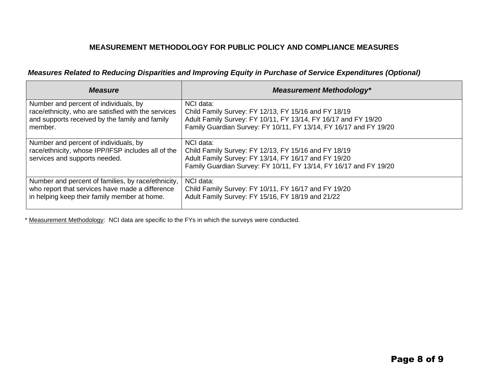#### *Measures Related to Reducing Disparities and Improving Equity in Purchase of Service Expenditures (Optional)*

| <b>Measure</b>                                                                                                               | <b>Measurement Methodology*</b>                                                                                                                                                                |
|------------------------------------------------------------------------------------------------------------------------------|------------------------------------------------------------------------------------------------------------------------------------------------------------------------------------------------|
| Number and percent of individuals, by                                                                                        | NCI data:                                                                                                                                                                                      |
| race/ethnicity, who are satisfied with the services                                                                          | Child Family Survey: FY 12/13, FY 15/16 and FY 18/19                                                                                                                                           |
| and supports received by the family and family                                                                               | Adult Family Survey: FY 10/11, FY 13/14, FY 16/17 and FY 19/20                                                                                                                                 |
| member.                                                                                                                      | Family Guardian Survey: FY 10/11, FY 13/14, FY 16/17 and FY 19/20                                                                                                                              |
| Number and percent of individuals, by<br>race/ethnicity, whose IPP/IFSP includes all of the<br>services and supports needed. | NCI data:<br>Child Family Survey: FY 12/13, FY 15/16 and FY 18/19<br>Adult Family Survey: FY 13/14, FY 16/17 and FY 19/20<br>Family Guardian Survey: FY 10/11, FY 13/14, FY 16/17 and FY 19/20 |
| Number and percent of families, by race/ethnicity,                                                                           | NCI data:                                                                                                                                                                                      |
| who report that services have made a difference                                                                              | Child Family Survey: FY 10/11, FY 16/17 and FY 19/20                                                                                                                                           |
| in helping keep their family member at home.                                                                                 | Adult Family Survey: FY 15/16, FY 18/19 and 21/22                                                                                                                                              |

\* Measurement Methodology: NCI data are specific to the FYs in which the surveys were conducted.